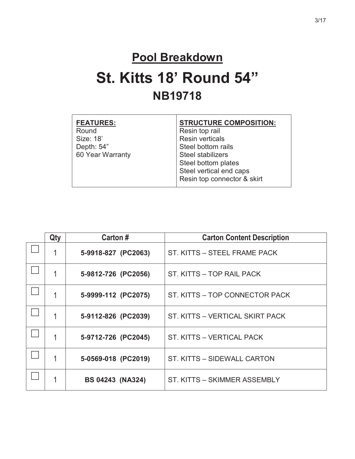## **Pool Breakdown**

## **St. Kitts 18' Round 54" NB19718**

| <b>FEATURES:</b> | <b>STRUCTURE COMPOSITION:</b> |
|------------------|-------------------------------|
| Round            | Resin top rail                |
| Size: 18'        | <b>Resin verticals</b>        |
| Depth: 54"       | Steel bottom rails            |
| 60 Year Warranty | <b>Steel stabilizers</b>      |
|                  | Steel bottom plates           |
|                  | Steel vertical end caps       |
|                  | Resin top connector & skirt   |

| Qty | Carton #                                               | <b>Carton Content Description</b> |  |
|-----|--------------------------------------------------------|-----------------------------------|--|
|     | ST. KITTS – STEEL FRAME PACK<br>5-9918-827 (PC2063)    |                                   |  |
| 1   | ST. KITTS - TOP RAIL PACK<br>5-9812-726 (PC2056)       |                                   |  |
|     | ST. KITTS - TOP CONNECTOR PACK<br>5-9999-112 (PC2075)  |                                   |  |
|     | ST. KITTS - VERTICAL SKIRT PACK<br>5-9112-826 (PC2039) |                                   |  |
| 1   | ST. KITTS - VERTICAL PACK<br>5-9712-726 (PC2045)       |                                   |  |
| 1   | ST. KITTS - SIDEWALL CARTON<br>5-0569-018 (PC2019)     |                                   |  |
| 1   | <b>BS 04243 (NA324)</b>                                | ST. KITTS - SKIMMER ASSEMBLY      |  |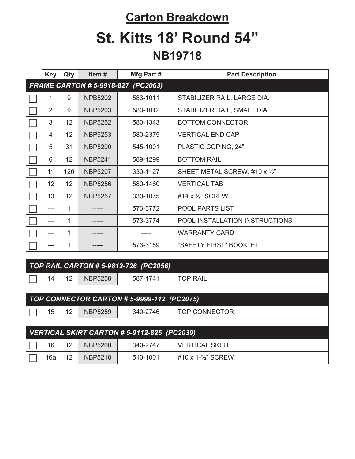## **Carton Breakdown St. Kitts 18' Round 54" NB19718**

|  | <b>Key</b>                                | Qty | Item $#$       | Mfg Part #                                  | <b>Part Description</b>        |  |
|--|-------------------------------------------|-----|----------------|---------------------------------------------|--------------------------------|--|
|  | <b>FRAME CARTON # 5-9918-827 (PC2063)</b> |     |                |                                             |                                |  |
|  | 1                                         | 9   | <b>NPB5202</b> | 583-1011                                    | STABILIZER RAIL, LARGE DIA.    |  |
|  | $\overline{2}$                            | 9   | <b>NBP5203</b> | 583-1012                                    | STABILIZER RAIL, SMALL DIA.    |  |
|  | 3                                         | 12  | <b>NBP5252</b> | 580-1343                                    | <b>BOTTOM CONNECTOR</b>        |  |
|  | 4                                         | 12  | <b>NBP5253</b> | 580-2375                                    | <b>VERTICAL END CAP</b>        |  |
|  | 5                                         | 31  | <b>NBP5200</b> | 545-1001                                    | PLASTIC COPING, 24"            |  |
|  | 6                                         | 12  | <b>NBP5241</b> | 589-1299                                    | <b>BOTTOM RAIL</b>             |  |
|  | 11                                        | 120 | <b>NBP5207</b> | 330-1127                                    | SHEET METAL SCREW, #10 x 1/2"  |  |
|  | 12                                        | 12  | <b>NBP5256</b> | 580-1460                                    | <b>VERTICAL TAB</b>            |  |
|  | 13                                        | 12  | <b>NBP5257</b> | 330-1075                                    | #14 x 1/2" SCREW               |  |
|  | $---$                                     | 1   |                | 573-3772                                    | <b>POOL PARTS LIST</b>         |  |
|  | $---$                                     | 1   |                | 573-3774                                    | POOL INSTALLATION INSTRUCTIONS |  |
|  | $---$                                     | 1   |                |                                             | <b>WARRANTY CARD</b>           |  |
|  | ---                                       | 1   |                | 573-3169                                    | "SAFETY FIRST" BOOKLET         |  |
|  |                                           |     |                |                                             |                                |  |
|  |                                           |     |                | TOP RAIL CARTON # 5-9812-726 (PC2056)       |                                |  |
|  | 14                                        | 12  | <b>NBP5258</b> | 587-1741                                    | <b>TOP RAIL</b>                |  |
|  |                                           |     |                |                                             |                                |  |
|  |                                           |     |                | TOP CONNECTOR CARTON # 5-9999-112 (PC2075)  |                                |  |
|  | 15                                        | 12  | <b>NBP5259</b> | 340-2746                                    | <b>TOP CONNECTOR</b>           |  |
|  |                                           |     |                |                                             |                                |  |
|  |                                           |     |                | VERTICAL SKIRT CARTON # 5-9112-826 (PC2039) |                                |  |
|  | 16                                        | 12  | <b>NBP5260</b> | 340-2747                                    | <b>VERTICAL SKIRT</b>          |  |
|  | 16a                                       | 12  | <b>NBP5218</b> | 510-1001                                    | #10 x 1-1/2" SCREW             |  |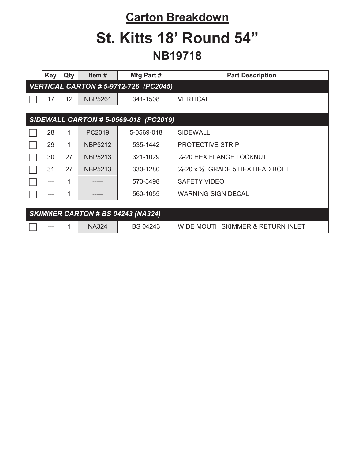## **Carton Breakdown St. Kitts 18' Round 54" NB19718**

|                                              | <b>Key</b> | Qty | Item#          | Mfg Part#       | <b>Part Description</b>                                   |  |
|----------------------------------------------|------------|-----|----------------|-----------------|-----------------------------------------------------------|--|
| <b>VERTICAL CARTON # 5-9712-726 (PC2045)</b> |            |     |                |                 |                                                           |  |
|                                              | 17         | 12  | <b>NBP5261</b> | 341-1508        | <b>VERTICAL</b>                                           |  |
|                                              |            |     |                |                 |                                                           |  |
| SIDEWALL CARTON # 5-0569-018 (PC2019)        |            |     |                |                 |                                                           |  |
|                                              | 28         | 1   | PC2019         | 5-0569-018      | <b>SIDEWALL</b>                                           |  |
|                                              | 29         | 1   | <b>NBP5212</b> | 535-1442        | PROTECTIVE STRIP                                          |  |
|                                              | 30         | 27  | <b>NBP5213</b> | 321-1029        | 1/4-20 HEX FLANGE LOCKNUT                                 |  |
|                                              | 31         | 27  | <b>NBP5213</b> | 330-1280        | $\frac{1}{4}$ -20 x $\frac{1}{2}$ " GRADE 5 HEX HEAD BOLT |  |
|                                              | ---        | 1   |                | 573-3498        | <b>SAFETY VIDEO</b>                                       |  |
|                                              | ---        | 1   |                | 560-1055        | <b>WARNING SIGN DECAL</b>                                 |  |
|                                              |            |     |                |                 |                                                           |  |
| SKIMMER CARTON # BS 04243 (NA324)            |            |     |                |                 |                                                           |  |
|                                              |            | 1   | <b>NA324</b>   | <b>BS 04243</b> | WIDE MOUTH SKIMMER & RETURN INLET                         |  |